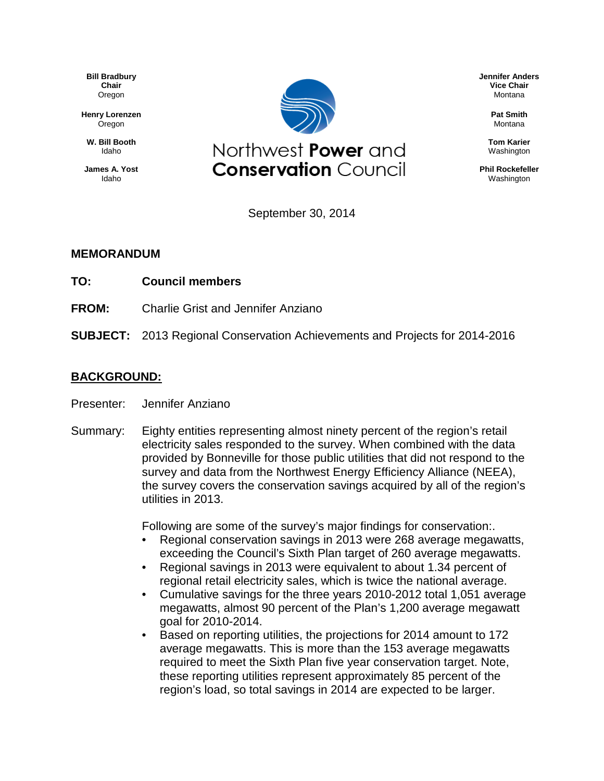**Bill Bradbury Chair** Oregon

**Henry Lorenzen** Oregon

**W. Bill Booth** Idaho

**James A. Yost** Idaho



**Jennifer Anders Vice Chair** Montana

> **Pat Smith** Montana

**Tom Karier** Washington

**Phil Rockefeller** Washington

September 30, 2014

## **MEMORANDUM**

- **TO: Council members**
- **FROM:** Charlie Grist and Jennifer Anziano
- **SUBJECT:** 2013 Regional Conservation Achievements and Projects for 2014-2016

## **BACKGROUND:**

- Presenter: Jennifer Anziano
- Summary: Eighty entities representing almost ninety percent of the region's retail electricity sales responded to the survey. When combined with the data provided by Bonneville for those public utilities that did not respond to the survey and data from the Northwest Energy Efficiency Alliance (NEEA), the survey covers the conservation savings acquired by all of the region's utilities in 2013.

Following are some of the survey's major findings for conservation:.

- Regional conservation savings in 2013 were 268 average megawatts, exceeding the Council's Sixth Plan target of 260 average megawatts.
- Regional savings in 2013 were equivalent to about 1.34 percent of regional retail electricity sales, which is twice the national average.
- Cumulative savings for the three years 2010-2012 total 1,051 average megawatts, almost 90 percent of the Plan's 1,200 average megawatt goal for 2010-2014.
- Based on reporting utilities, the projections for 2014 amount to 172 average megawatts. This is more than the 153 average megawatts required to meet the Sixth Plan five year conservation target. Note, these reporting utilities represent approximately 85 percent of the region's load, so total savings in 2014 are expected to be larger.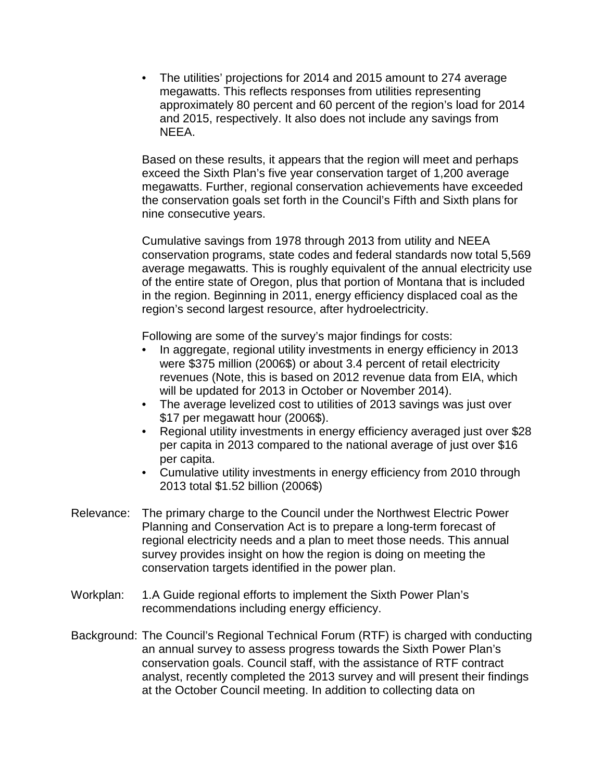• The utilities' projections for 2014 and 2015 amount to 274 average megawatts. This reflects responses from utilities representing approximately 80 percent and 60 percent of the region's load for 2014 and 2015, respectively. It also does not include any savings from NEEA.

Based on these results, it appears that the region will meet and perhaps exceed the Sixth Plan's five year conservation target of 1,200 average megawatts. Further, regional conservation achievements have exceeded the conservation goals set forth in the Council's Fifth and Sixth plans for nine consecutive years.

Cumulative savings from 1978 through 2013 from utility and NEEA conservation programs, state codes and federal standards now total 5,569 average megawatts. This is roughly equivalent of the annual electricity use of the entire state of Oregon, plus that portion of Montana that is included in the region. Beginning in 2011, energy efficiency displaced coal as the region's second largest resource, after hydroelectricity.

Following are some of the survey's major findings for costs:

- In aggregate, regional utility investments in energy efficiency in 2013 were \$375 million (2006\$) or about 3.4 percent of retail electricity revenues (Note, this is based on 2012 revenue data from EIA, which will be updated for 2013 in October or November 2014).
- The average levelized cost to utilities of 2013 savings was just over \$17 per megawatt hour (2006\$).
- Regional utility investments in energy efficiency averaged just over \$28 per capita in 2013 compared to the national average of just over \$16 per capita.
- Cumulative utility investments in energy efficiency from 2010 through 2013 total \$1.52 billion (2006\$)
- Relevance: The primary charge to the Council under the Northwest Electric Power Planning and Conservation Act is to prepare a long-term forecast of regional electricity needs and a plan to meet those needs. This annual survey provides insight on how the region is doing on meeting the conservation targets identified in the power plan.
- Workplan: 1.A Guide regional efforts to implement the Sixth Power Plan's recommendations including energy efficiency.
- Background: The Council's Regional Technical Forum (RTF) is charged with conducting an annual survey to assess progress towards the Sixth Power Plan's conservation goals. Council staff, with the assistance of RTF contract analyst, recently completed the 2013 survey and will present their findings at the October Council meeting. In addition to collecting data on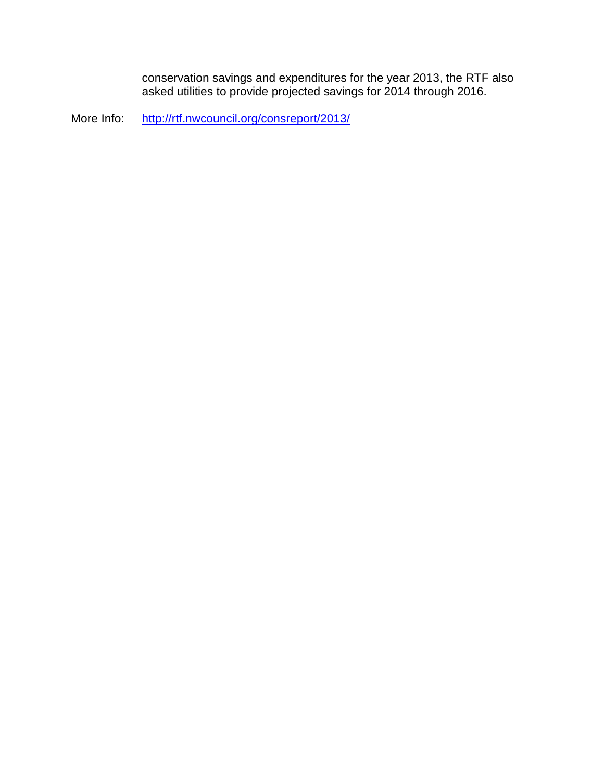conservation savings and expenditures for the year 2013, the RTF also asked utilities to provide projected savings for 2014 through 2016.

More Info: <http://rtf.nwcouncil.org/consreport/2013/>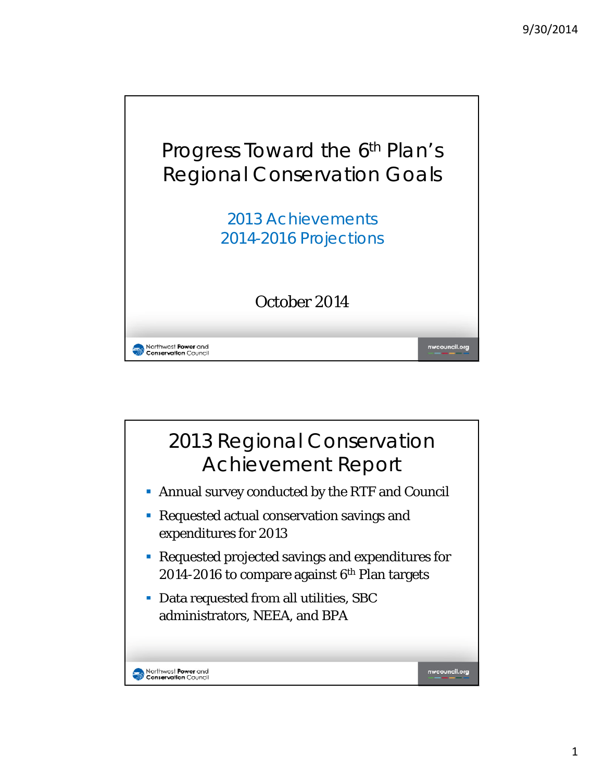

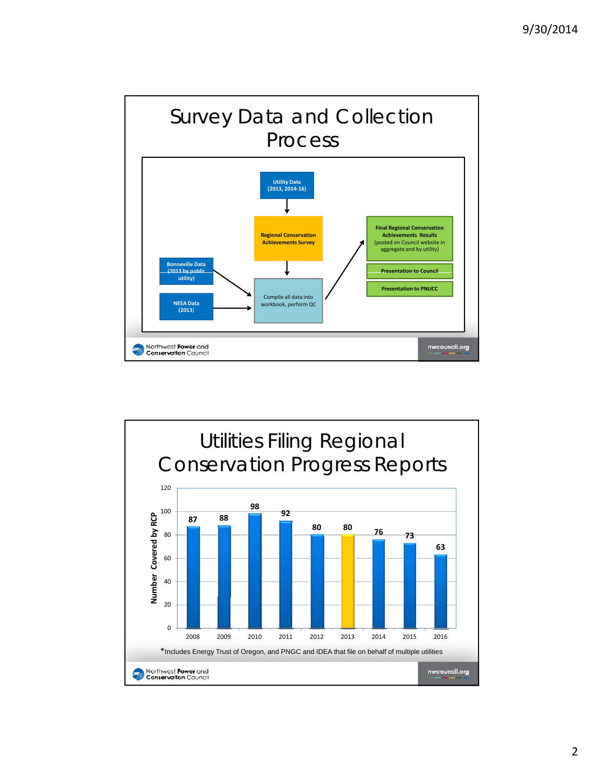

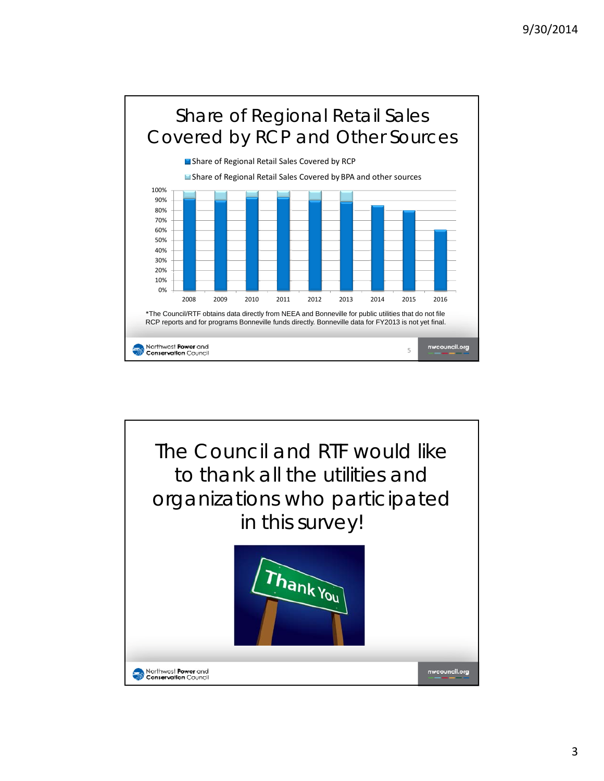

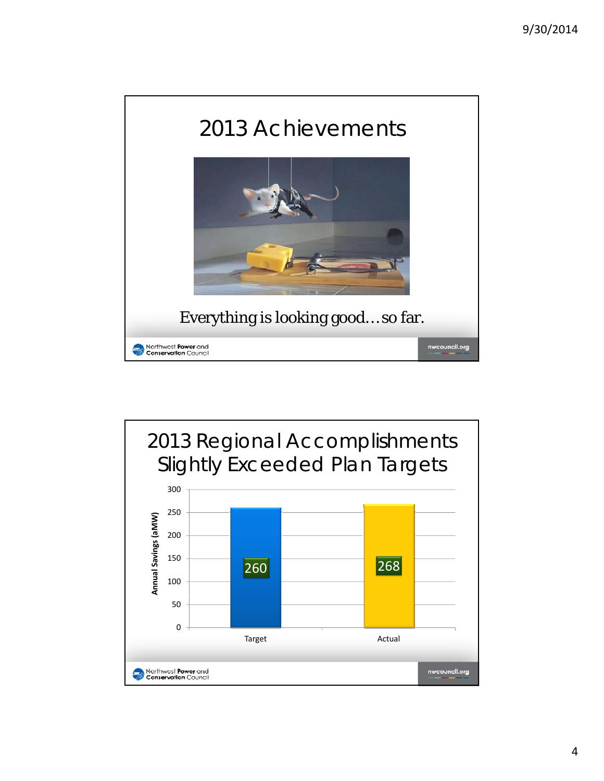

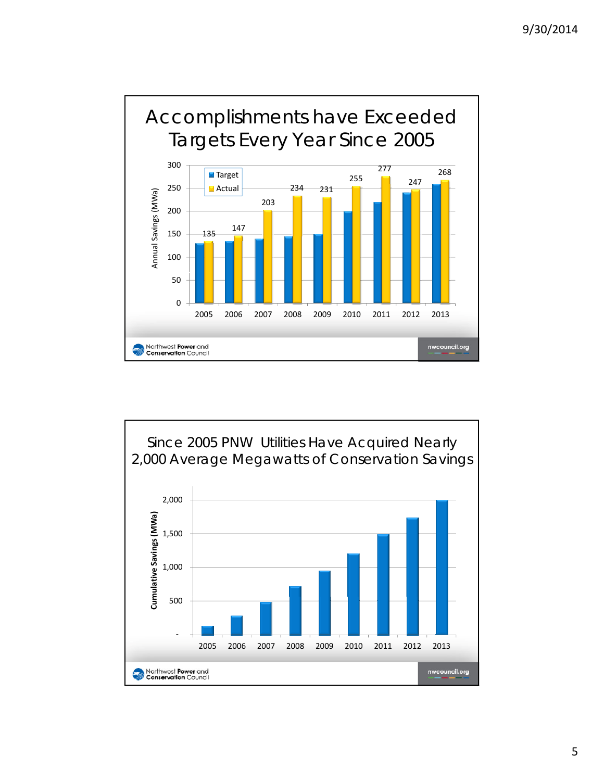

![](_page_7_Figure_2.jpeg)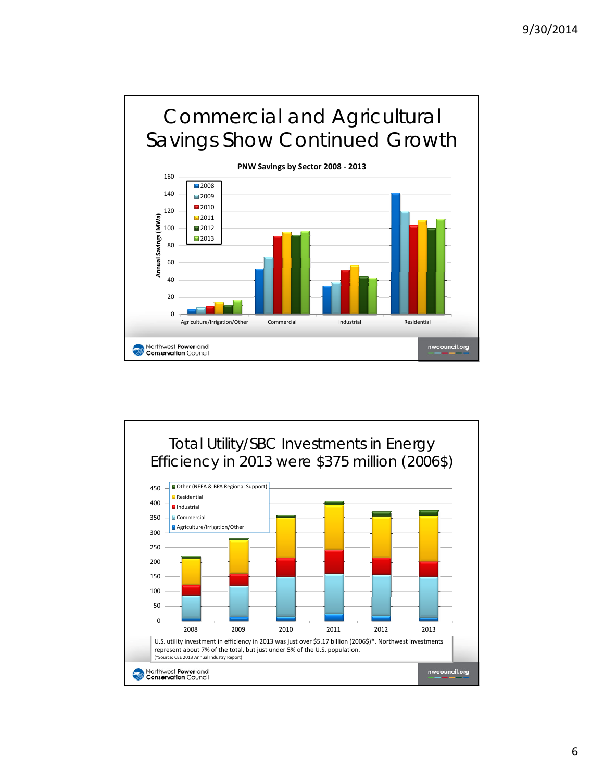![](_page_8_Figure_1.jpeg)

![](_page_8_Figure_2.jpeg)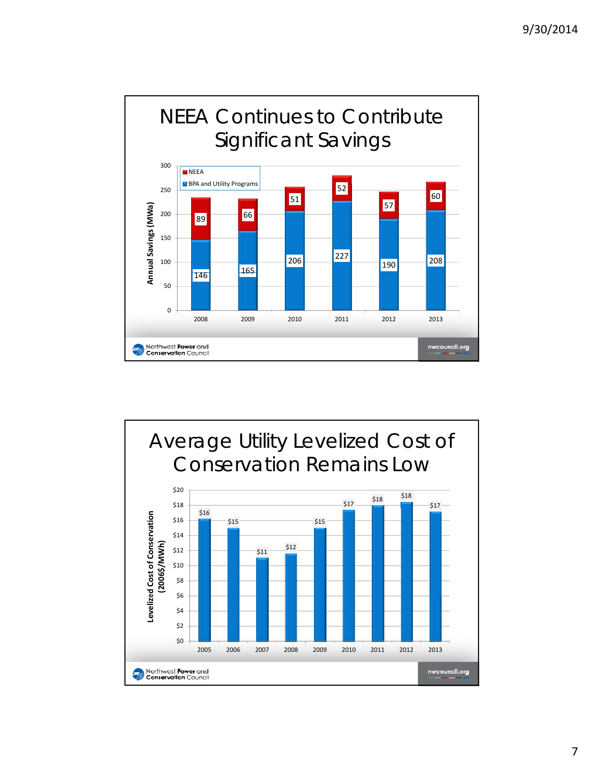![](_page_9_Figure_1.jpeg)

![](_page_9_Figure_2.jpeg)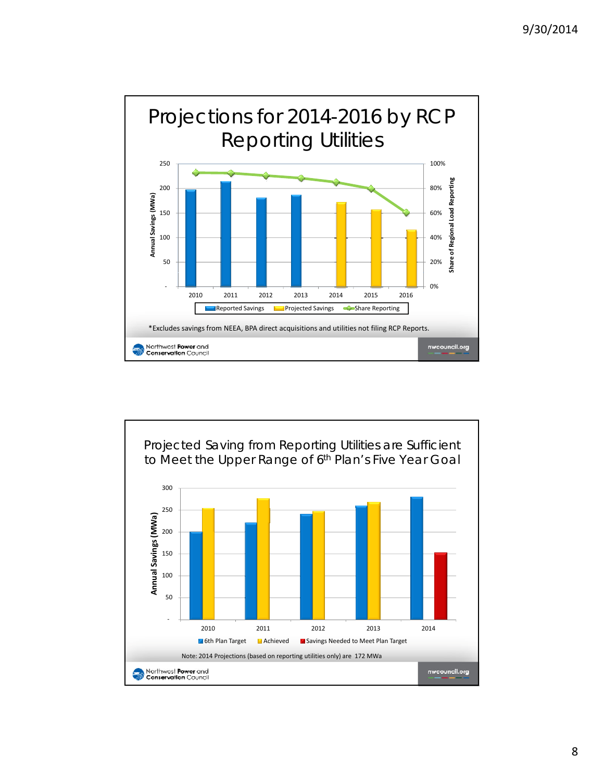![](_page_10_Figure_1.jpeg)

![](_page_10_Figure_2.jpeg)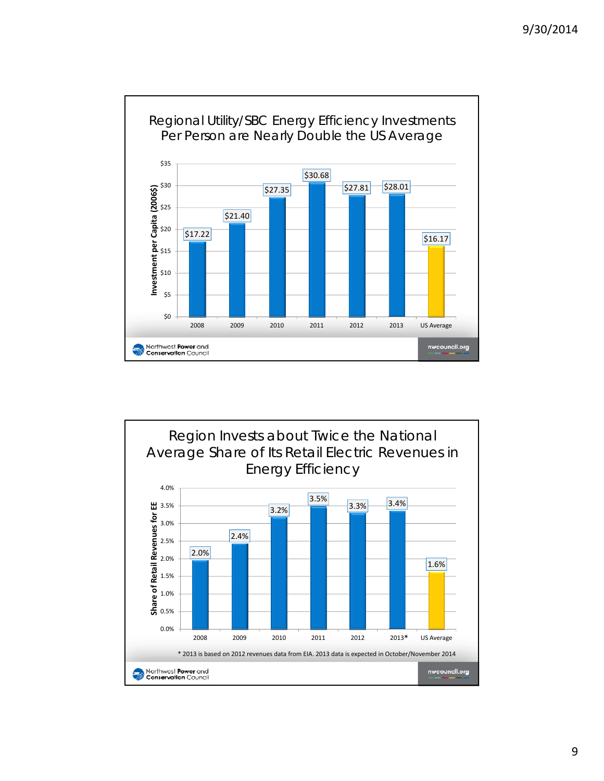![](_page_11_Figure_1.jpeg)

![](_page_11_Figure_2.jpeg)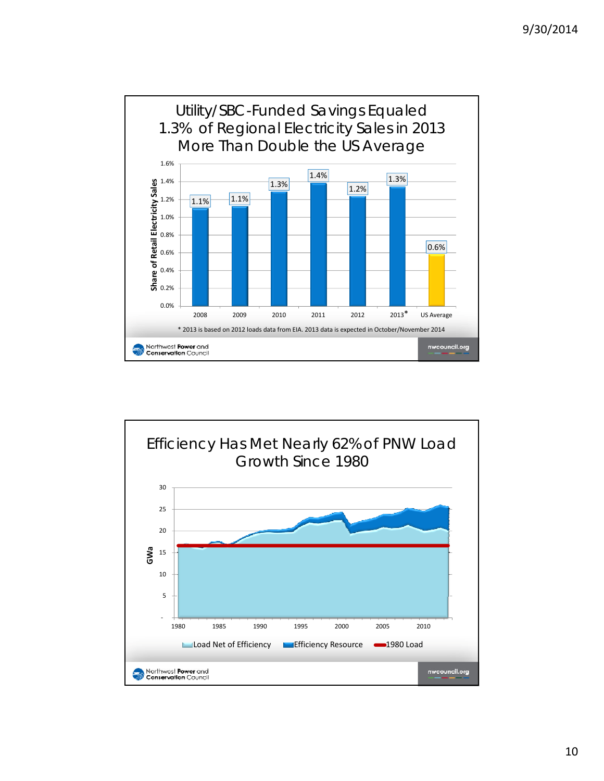![](_page_12_Figure_1.jpeg)

![](_page_12_Figure_2.jpeg)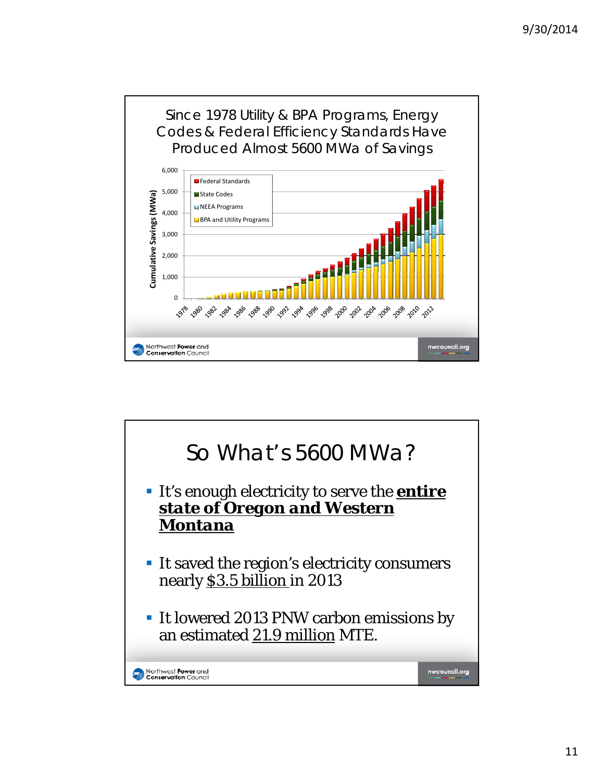![](_page_13_Figure_1.jpeg)

![](_page_13_Figure_2.jpeg)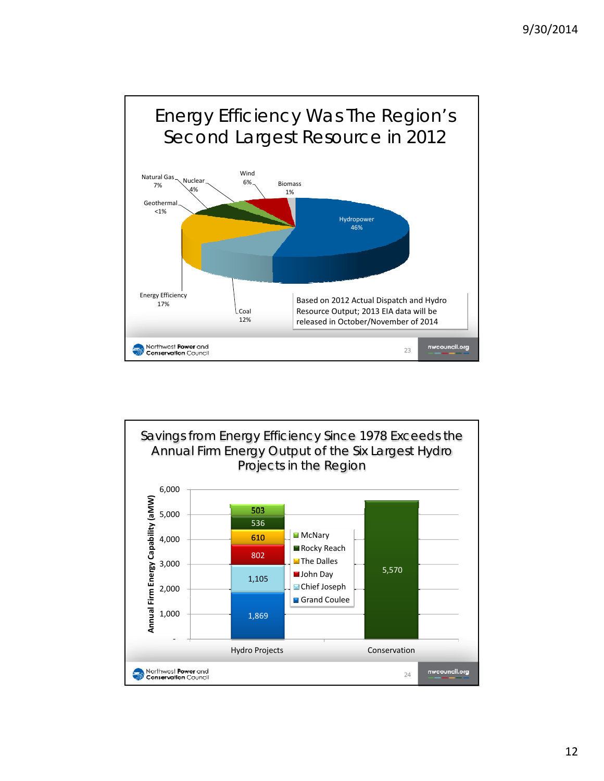![](_page_14_Figure_1.jpeg)

![](_page_14_Figure_2.jpeg)